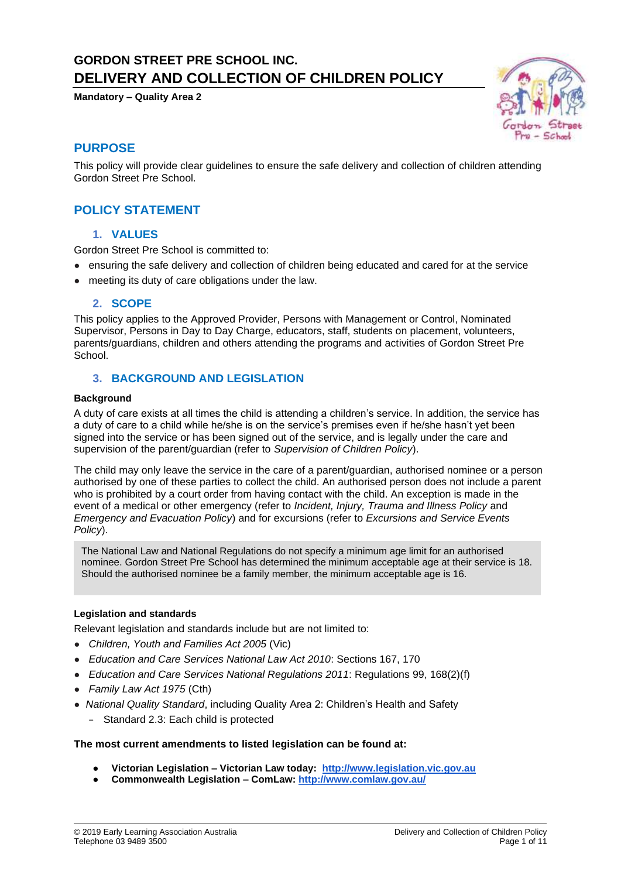# **GORDON STREET PRE SCHOOL INC. DELIVERY AND COLLECTION OF CHILDREN POLICY**

**Mandatory – Quality Area 2**



### **PURPOSE**

This policy will provide clear guidelines to ensure the safe delivery and collection of children attending Gordon Street Pre School.

### **POLICY STATEMENT**

### **1. VALUES**

Gordon Street Pre School is committed to:

- ensuring the safe delivery and collection of children being educated and cared for at the service
- meeting its duty of care obligations under the law.

#### **2. SCOPE**

This policy applies to the Approved Provider, Persons with Management or Control, Nominated Supervisor, Persons in Day to Day Charge, educators, staff, students on placement, volunteers, parents/guardians, children and others attending the programs and activities of Gordon Street Pre School.

#### **3. BACKGROUND AND LEGISLATION**

#### **Background**

A duty of care exists at all times the child is attending a children's service. In addition, the service has a duty of care to a child while he/she is on the service's premises even if he/she hasn't yet been signed into the service or has been signed out of the service, and is legally under the care and supervision of the parent/guardian (refer to *Supervision of Children Policy*).

The child may only leave the service in the care of a parent/guardian, authorised nominee or a person authorised by one of these parties to collect the child. An authorised person does not include a parent who is prohibited by a court order from having contact with the child. An exception is made in the event of a medical or other emergency (refer to *Incident, Injury, Trauma and Illness Policy* and *Emergency and Evacuation Policy*) and for excursions (refer to *Excursions and Service Events Policy*).

The National Law and National Regulations do not specify a minimum age limit for an authorised nominee. Gordon Street Pre School has determined the minimum acceptable age at their service is 18. Should the authorised nominee be a family member, the minimum acceptable age is 16.

#### **Legislation and standards**

Relevant legislation and standards include but are not limited to:

- *Children, Youth and Families Act 2005* (Vic)
- *Education and Care Services National Law Act 2010*: Sections 167, 170
- *Education and Care Services National Regulations 2011*: Regulations 99, 168(2)(f)
- *Family Law Act 1975* (Cth)
- *National Quality Standard*, including Quality Area 2: Children's Health and Safety
	- − Standard 2.3: Each child is protected

#### **The most current amendments to listed legislation can be found at:**

- **Victorian Legislation – Victorian Law today: [http://www.legislation.vic.gov.au](http://www.legislation.vic.gov.au/)**
- **Commonwealth Legislation – ComLaw[:](http://www.comlaw.gov.au/) <http://www.comlaw.gov.au/>**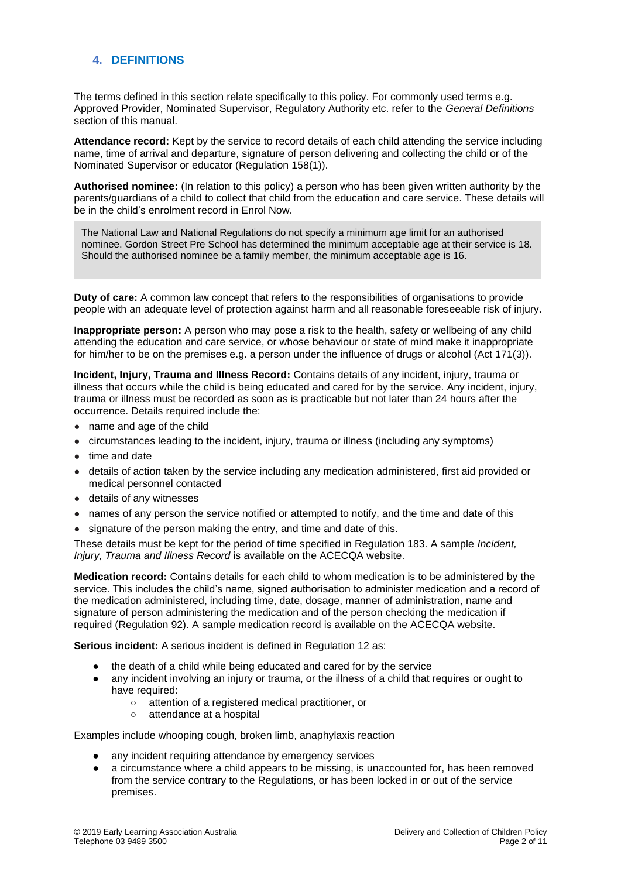### **4. DEFINITIONS**

The terms defined in this section relate specifically to this policy. For commonly used terms e.g. Approved Provider, Nominated Supervisor, Regulatory Authority etc. refer to the *General Definitions* section of this manual.

**Attendance record:** Kept by the service to record details of each child attending the service including name, time of arrival and departure, signature of person delivering and collecting the child or of the Nominated Supervisor or educator (Regulation 158(1)).

**Authorised nominee:** (In relation to this policy) a person who has been given written authority by the parents/guardians of a child to collect that child from the education and care service. These details will be in the child's enrolment record in Enrol Now.

The National Law and National Regulations do not specify a minimum age limit for an authorised nominee. Gordon Street Pre School has determined the minimum acceptable age at their service is 18. Should the authorised nominee be a family member, the minimum acceptable age is 16.

**Duty of care:** A common law concept that refers to the responsibilities of organisations to provide people with an adequate level of protection against harm and all reasonable foreseeable risk of injury.

**Inappropriate person:** A person who may pose a risk to the health, safety or wellbeing of any child attending the education and care service, or whose behaviour or state of mind make it inappropriate for him/her to be on the premises e.g. a person under the influence of drugs or alcohol (Act 171(3)).

**Incident, Injury, Trauma and Illness Record:** Contains details of any incident, injury, trauma or illness that occurs while the child is being educated and cared for by the service. Any incident, injury, trauma or illness must be recorded as soon as is practicable but not later than 24 hours after the occurrence. Details required include the:

- name and age of the child
- circumstances leading to the incident, injury, trauma or illness (including any symptoms)
- time and date
- details of action taken by the service including any medication administered, first aid provided or medical personnel contacted
- details of any witnesses
- names of any person the service notified or attempted to notify, and the time and date of this
- signature of the person making the entry, and time and date of this.

These details must be kept for the period of time specified in Regulation 183. A sample *Incident, Injury, Trauma and Illness Record* is available on the ACECQA website.

**Medication record:** Contains details for each child to whom medication is to be administered by the service. This includes the child's name, signed authorisation to administer medication and a record of the medication administered, including time, date, dosage, manner of administration, name and signature of person administering the medication and of the person checking the medication if required (Regulation 92). A sample medication record is available on the ACECQA website.

**Serious incident:** A serious incident is defined in Regulation 12 as:

- the death of a child while being educated and cared for by the service
- any incident involving an injury or trauma, or the illness of a child that requires or ought to have required:
	- attention of a registered medical practitioner, or
	- attendance at a hospital

Examples include whooping cough, broken limb, anaphylaxis reaction

- any incident requiring attendance by emergency services
- a circumstance where a child appears to be missing, is unaccounted for, has been removed from the service contrary to the Regulations, or has been locked in or out of the service premises.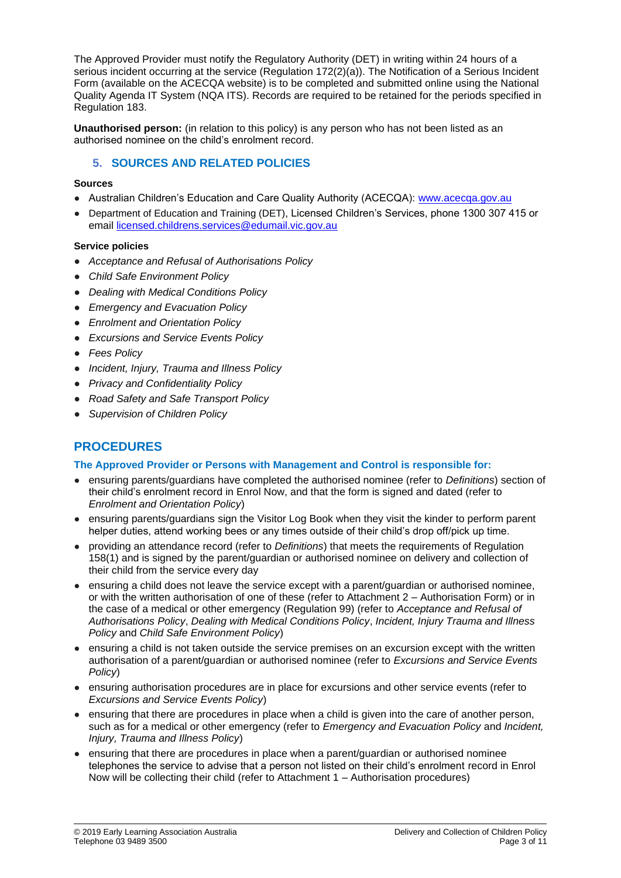The Approved Provider must notify the Regulatory Authority (DET) in writing within 24 hours of a serious incident occurring at the service (Regulation 172(2)(a)). The Notification of a Serious Incident Form (available on the ACECQA website) is to be completed and submitted online using the National Quality Agenda IT System (NQA ITS). Records are required to be retained for the periods specified in Regulation 183.

**Unauthorised person:** (in relation to this policy) is any person who has not been listed as an authorised nominee on the child's enrolment record.

### **5. SOURCES AND RELATED POLICIES**

#### **Sources**

- Australian Children's Education and Care Quality Authority (ACECQA): [www.acecqa.gov.au](http://www.acecqa.gov.au/)
- Department of Education and Training (DET), Licensed Children's Services, phone 1300 307 415 or email [licensed.childrens.services@edumail.vic.gov.au](mailto:licensed.childrens.services@edumail.vic.gov.au)

#### **Service policies**

- *Acceptance and Refusal of Authorisations Policy*
- *Child Safe Environment Policy*
- *Dealing with Medical Conditions Policy*
- *Emergency and Evacuation Policy*
- *Enrolment and Orientation Policy*
- *Excursions and Service Events Policy*
- *Fees Policy*
- *Incident, Injury, Trauma and Illness Policy*
- *Privacy and Confidentiality Policy*
- *Road Safety and Safe Transport Policy*
- *Supervision of Children Policy*

## **PROCEDURES**

#### **The Approved Provider or Persons with Management and Control is responsible for:**

- ensuring parents/guardians have completed the authorised nominee (refer to *Definitions*) section of their child's enrolment record in Enrol Now, and that the form is signed and dated (refer to *Enrolment and Orientation Policy*)
- ensuring parents/guardians sign the Visitor Log Book when they visit the kinder to perform parent helper duties, attend working bees or any times outside of their child's drop off/pick up time.
- providing an attendance record (refer to *Definitions*) that meets the requirements of Regulation 158(1) and is signed by the parent/guardian or authorised nominee on delivery and collection of their child from the service every day
- ensuring a child does not leave the service except with a parent/quardian or authorised nominee, or with the written authorisation of one of these (refer to Attachment 2 – Authorisation Form) or in the case of a medical or other emergency (Regulation 99) (refer to *Acceptance and Refusal of Authorisations Policy*, *Dealing with Medical Conditions Policy*, *Incident, Injury Trauma and Illness Policy* and *Child Safe Environment Policy*)
- ensuring a child is not taken outside the service premises on an excursion except with the written authorisation of a parent/guardian or authorised nominee (refer to *Excursions and Service Events Policy*)
- ensuring authorisation procedures are in place for excursions and other service events (refer to *Excursions and Service Events Policy*)
- ensuring that there are procedures in place when a child is given into the care of another person, such as for a medical or other emergency (refer to *Emergency and Evacuation Policy* and *Incident, Injury, Trauma and Illness Policy*)
- ensuring that there are procedures in place when a parent/guardian or authorised nominee telephones the service to advise that a person not listed on their child's enrolment record in Enrol Now will be collecting their child (refer to Attachment 1 – Authorisation procedures)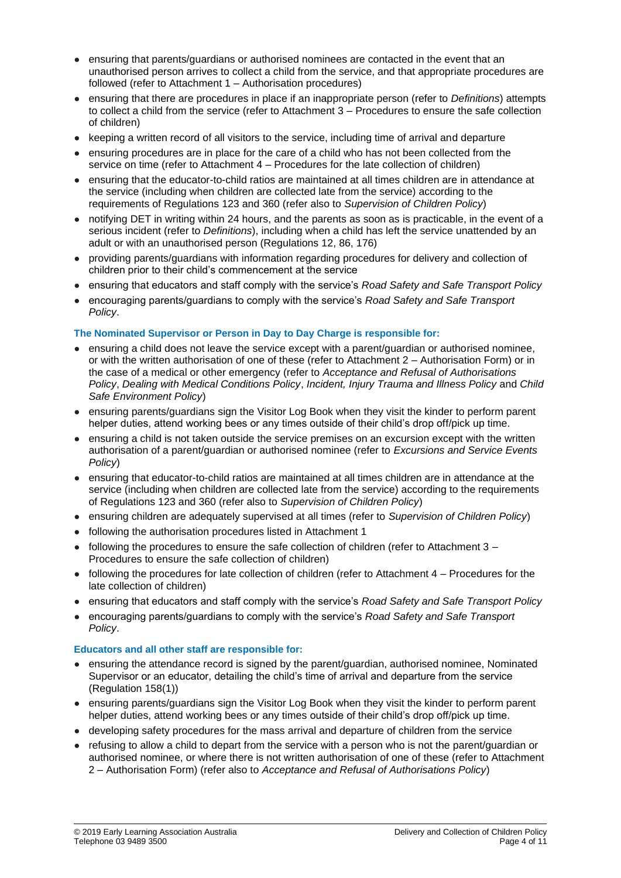- ensuring that parents/guardians or authorised nominees are contacted in the event that an unauthorised person arrives to collect a child from the service, and that appropriate procedures are followed (refer to Attachment 1 – Authorisation procedures)
- ensuring that there are procedures in place if an inappropriate person (refer to *Definitions*) attempts to collect a child from the service (refer to Attachment 3 – Procedures to ensure the safe collection of children)
- keeping a written record of all visitors to the service, including time of arrival and departure
- ensuring procedures are in place for the care of a child who has not been collected from the service on time (refer to Attachment 4 – Procedures for the late collection of children)
- ensuring that the educator-to-child ratios are maintained at all times children are in attendance at the service (including when children are collected late from the service) according to the requirements of Regulations 123 and 360 (refer also to *Supervision of Children Policy*)
- notifying DET in writing within 24 hours, and the parents as soon as is practicable, in the event of a serious incident (refer to *Definitions*), including when a child has left the service unattended by an adult or with an unauthorised person (Regulations 12, 86, 176)
- providing parents/guardians with information regarding procedures for delivery and collection of children prior to their child's commencement at the service
- ensuring that educators and staff comply with the service's *Road Safety and Safe Transport Policy*
- encouraging parents/guardians to comply with the service's *Road Safety and Safe Transport Policy*.

### **The Nominated Supervisor or Person in Day to Day Charge is responsible for:**

- ensuring a child does not leave the service except with a parent/guardian or authorised nominee, or with the written authorisation of one of these (refer to Attachment 2 – Authorisation Form) or in the case of a medical or other emergency (refer to *Acceptance and Refusal of Authorisations Policy*, *Dealing with Medical Conditions Policy*, *Incident, Injury Trauma and Illness Policy* and *Child Safe Environment Policy*)
- ensuring parents/guardians sign the Visitor Log Book when they visit the kinder to perform parent helper duties, attend working bees or any times outside of their child's drop off/pick up time.
- ensuring a child is not taken outside the service premises on an excursion except with the written authorisation of a parent/guardian or authorised nominee (refer to *Excursions and Service Events Policy*)
- ensuring that educator-to-child ratios are maintained at all times children are in attendance at the service (including when children are collected late from the service) according to the requirements of Regulations 123 and 360 (refer also to *Supervision of Children Policy*)
- ensuring children are adequately supervised at all times (refer to *Supervision of Children Policy*)
- following the authorisation procedures listed in Attachment 1
- following the procedures to ensure the safe collection of children (refer to Attachment  $3 -$ Procedures to ensure the safe collection of children)
- following the procedures for late collection of children (refer to Attachment 4 Procedures for the late collection of children)
- ensuring that educators and staff comply with the service's *Road Safety and Safe Transport Policy*
- encouraging parents/guardians to comply with the service's *Road Safety and Safe Transport Policy*.

#### **Educators and all other staff are responsible for:**

- ensuring the attendance record is signed by the parent/guardian, authorised nominee, Nominated Supervisor or an educator, detailing the child's time of arrival and departure from the service (Regulation 158(1))
- ensuring parents/guardians sign the Visitor Log Book when they visit the kinder to perform parent helper duties, attend working bees or any times outside of their child's drop off/pick up time.
- developing safety procedures for the mass arrival and departure of children from the service
- refusing to allow a child to depart from the service with a person who is not the parent/guardian or authorised nominee, or where there is not written authorisation of one of these (refer to Attachment 2 – Authorisation Form) (refer also to *Acceptance and Refusal of Authorisations Policy*)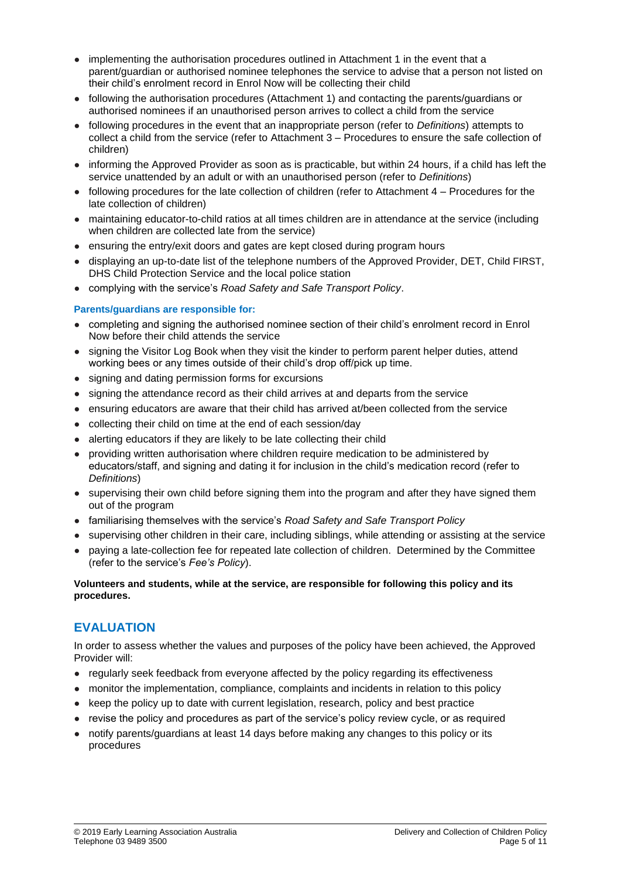- implementing the authorisation procedures outlined in Attachment 1 in the event that a parent/guardian or authorised nominee telephones the service to advise that a person not listed on their child's enrolment record in Enrol Now will be collecting their child
- following the authorisation procedures (Attachment 1) and contacting the parents/guardians or authorised nominees if an unauthorised person arrives to collect a child from the service
- following procedures in the event that an inappropriate person (refer to *Definitions*) attempts to collect a child from the service (refer to Attachment 3 – Procedures to ensure the safe collection of children)
- informing the Approved Provider as soon as is practicable, but within 24 hours, if a child has left the service unattended by an adult or with an unauthorised person (refer to *Definitions*)
- following procedures for the late collection of children (refer to Attachment 4 Procedures for the late collection of children)
- maintaining educator-to-child ratios at all times children are in attendance at the service (including when children are collected late from the service)
- ensuring the entry/exit doors and gates are kept closed during program hours
- displaving an up-to-date list of the telephone numbers of the Approved Provider, DET, Child FIRST, DHS Child Protection Service and the local police station
- complying with the service's *Road Safety and Safe Transport Policy*.

#### **Parents/guardians are responsible for:**

- completing and signing the authorised nominee section of their child's enrolment record in Enrol Now before their child attends the service
- signing the Visitor Log Book when they visit the kinder to perform parent helper duties, attend working bees or any times outside of their child's drop off/pick up time.
- signing and dating permission forms for excursions
- signing the attendance record as their child arrives at and departs from the service
- ensuring educators are aware that their child has arrived at/been collected from the service
- collecting their child on time at the end of each session/day
- alerting educators if they are likely to be late collecting their child
- providing written authorisation where children require medication to be administered by educators/staff, and signing and dating it for inclusion in the child's medication record (refer to *Definitions*)
- supervising their own child before signing them into the program and after they have signed them out of the program
- familiarising themselves with the service's *Road Safety and Safe Transport Policy*
- supervising other children in their care, including siblings, while attending or assisting at the service
- paying a late-collection fee for repeated late collection of children. Determined by the Committee (refer to the service's *Fee's Policy*).

#### **Volunteers and students, while at the service, are responsible for following this policy and its procedures.**

### **EVALUATION**

In order to assess whether the values and purposes of the policy have been achieved, the Approved Provider will:

- regularly seek feedback from everyone affected by the policy regarding its effectiveness
- monitor the implementation, compliance, complaints and incidents in relation to this policy
- keep the policy up to date with current legislation, research, policy and best practice
- revise the policy and procedures as part of the service's policy review cycle, or as required
- notify parents/guardians at least 14 days before making any changes to this policy or its procedures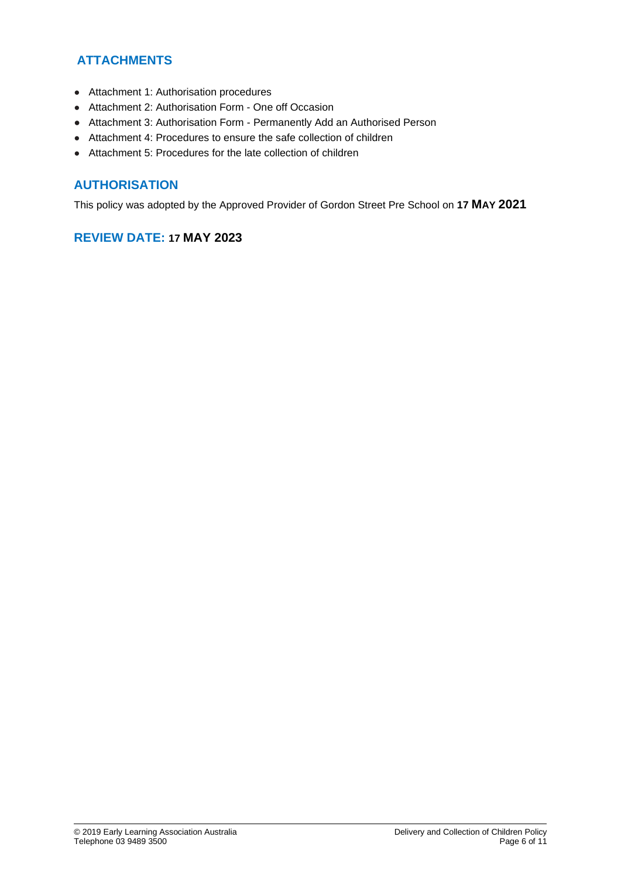## **ATTACHMENTS**

- Attachment 1: Authorisation procedures
- Attachment 2: Authorisation Form One off Occasion
- Attachment 3: Authorisation Form Permanently Add an Authorised Person
- Attachment 4: Procedures to ensure the safe collection of children
- Attachment 5: Procedures for the late collection of children

### **AUTHORISATION**

This policy was adopted by the Approved Provider of Gordon Street Pre School on **17 MAY 2021**

### **REVIEW DATE: 17 MAY 2023**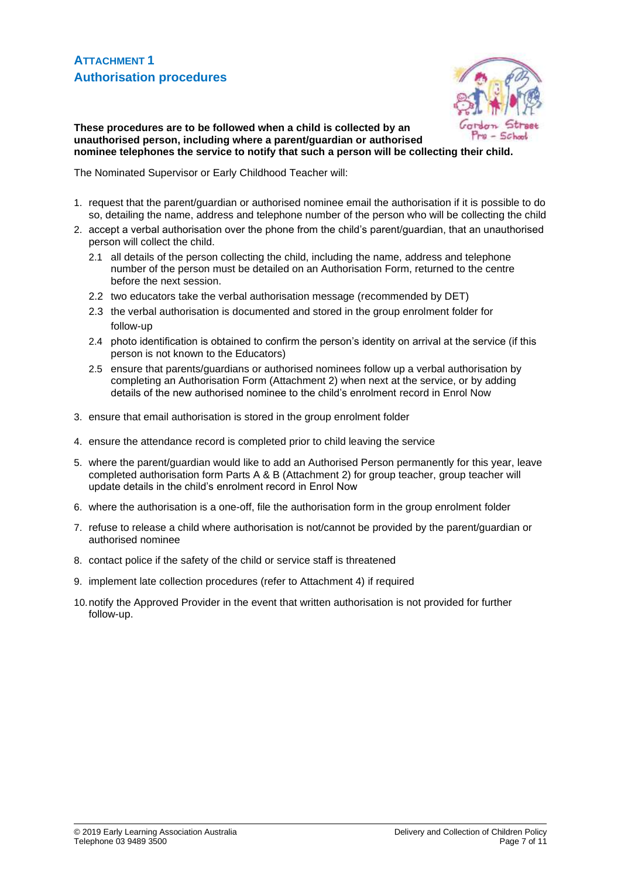

**These procedures are to be followed when a child is collected by an unauthorised person, including where a parent/guardian or authorised nominee telephones the service to notify that such a person will be collecting their child.**

The Nominated Supervisor or Early Childhood Teacher will:

- 1. request that the parent/guardian or authorised nominee email the authorisation if it is possible to do so, detailing the name, address and telephone number of the person who will be collecting the child
- 2. accept a verbal authorisation over the phone from the child's parent/guardian, that an unauthorised person will collect the child.
	- 2.1 all details of the person collecting the child, including the name, address and telephone number of the person must be detailed on an Authorisation Form, returned to the centre before the next session.
	- 2.2 two educators take the verbal authorisation message (recommended by DET)
	- 2.3 the verbal authorisation is documented and stored in the group enrolment folder for follow-up
	- 2.4 photo identification is obtained to confirm the person's identity on arrival at the service (if this person is not known to the Educators)
	- 2.5 ensure that parents/guardians or authorised nominees follow up a verbal authorisation by completing an Authorisation Form (Attachment 2) when next at the service, or by adding details of the new authorised nominee to the child's enrolment record in Enrol Now
- 3. ensure that email authorisation is stored in the group enrolment folder
- 4. ensure the attendance record is completed prior to child leaving the service
- 5. where the parent/guardian would like to add an Authorised Person permanently for this year, leave completed authorisation form Parts A & B (Attachment 2) for group teacher, group teacher will update details in the child's enrolment record in Enrol Now
- 6. where the authorisation is a one-off, file the authorisation form in the group enrolment folder
- 7. refuse to release a child where authorisation is not/cannot be provided by the parent/guardian or authorised nominee
- 8. contact police if the safety of the child or service staff is threatened
- 9. implement late collection procedures (refer to Attachment 4) if required
- 10.notify the Approved Provider in the event that written authorisation is not provided for further follow-up.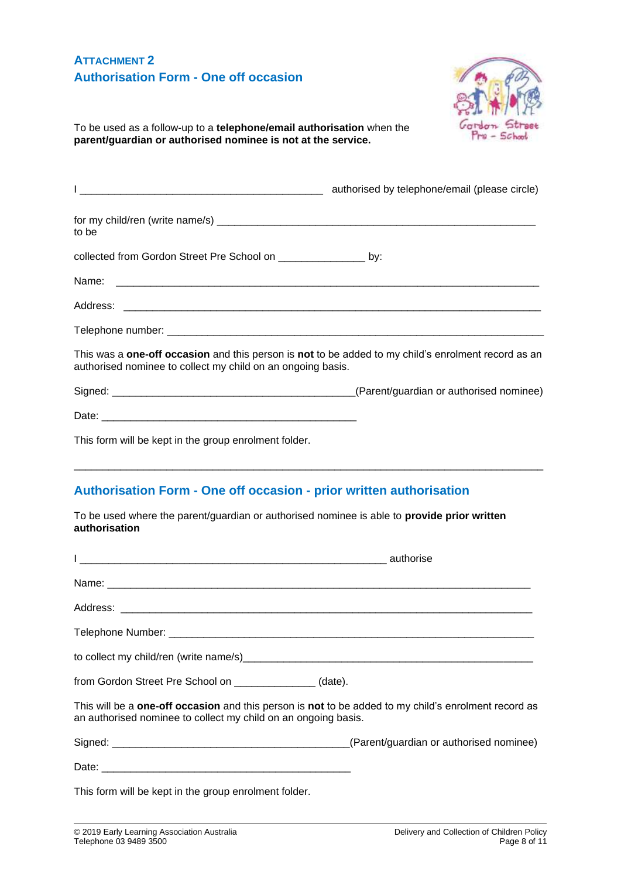### **ATTACHMENT 2 Authorisation Form - One off occasion**



To be used as a follow-up to a **telephone/email authorisation** when the **parent/guardian or authorised nominee is not at the service.**

| <u> 2000 - Jan James James Barnett, amerikansk politik (d. 1982)</u>                                                                                                             | authorised by telephone/email (please circle) |  |
|----------------------------------------------------------------------------------------------------------------------------------------------------------------------------------|-----------------------------------------------|--|
| to be                                                                                                                                                                            |                                               |  |
| collected from Gordon Street Pre School on _________________ by:                                                                                                                 |                                               |  |
|                                                                                                                                                                                  |                                               |  |
|                                                                                                                                                                                  |                                               |  |
|                                                                                                                                                                                  |                                               |  |
| This was a <b>one-off occasion</b> and this person is <b>not</b> to be added to my child's enrolment record as an<br>authorised nominee to collect my child on an ongoing basis. |                                               |  |
|                                                                                                                                                                                  |                                               |  |
|                                                                                                                                                                                  |                                               |  |
| This form will be kept in the group enrolment folder.                                                                                                                            |                                               |  |
|                                                                                                                                                                                  |                                               |  |

### **Authorisation Form - One off occasion - prior written authorisation**

To be used where the parent/guardian or authorised nominee is able to **provide prior written authorisation**

| from Gordon Street Pre School on _______________(date).                                                                                                                |  |  |
|------------------------------------------------------------------------------------------------------------------------------------------------------------------------|--|--|
| This will be a one-off occasion and this person is not to be added to my child's enrolment record as<br>an authorised nominee to collect my child on an ongoing basis. |  |  |
|                                                                                                                                                                        |  |  |
|                                                                                                                                                                        |  |  |
| This form will be kept in the group enrolment folder.                                                                                                                  |  |  |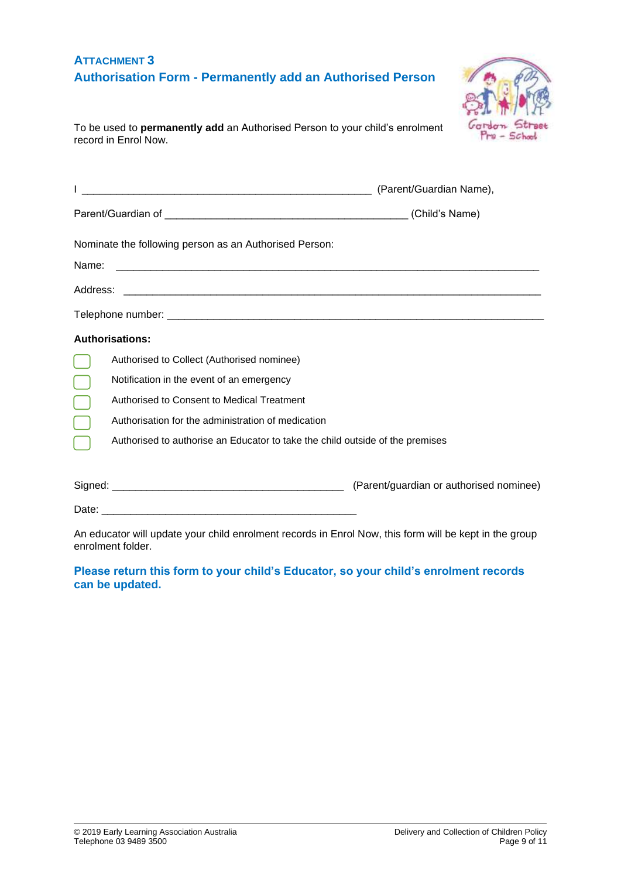| <b>ATTACHMENT 3</b> |                                                                  |
|---------------------|------------------------------------------------------------------|
|                     | <b>Authorisation Form - Permanently add an Authorised Person</b> |



To be used to **permanently add** an Authorised Person to your child's enrolment record in Enrol Now.

|                        |                                                                               | (Parent/Guardian Name),                 |
|------------------------|-------------------------------------------------------------------------------|-----------------------------------------|
|                        |                                                                               |                                         |
|                        | Nominate the following person as an Authorised Person:                        |                                         |
| Name:                  |                                                                               |                                         |
|                        |                                                                               |                                         |
|                        |                                                                               |                                         |
| <b>Authorisations:</b> |                                                                               |                                         |
|                        | Authorised to Collect (Authorised nominee)                                    |                                         |
|                        | Notification in the event of an emergency                                     |                                         |
|                        | Authorised to Consent to Medical Treatment                                    |                                         |
|                        | Authorisation for the administration of medication                            |                                         |
|                        | Authorised to authorise an Educator to take the child outside of the premises |                                         |
|                        |                                                                               | (Parent/guardian or authorised nominee) |
|                        |                                                                               |                                         |

An educator will update your child enrolment records in Enrol Now, this form will be kept in the group enrolment folder.

#### **Please return this form to your child's Educator, so your child's enrolment records can be updated.**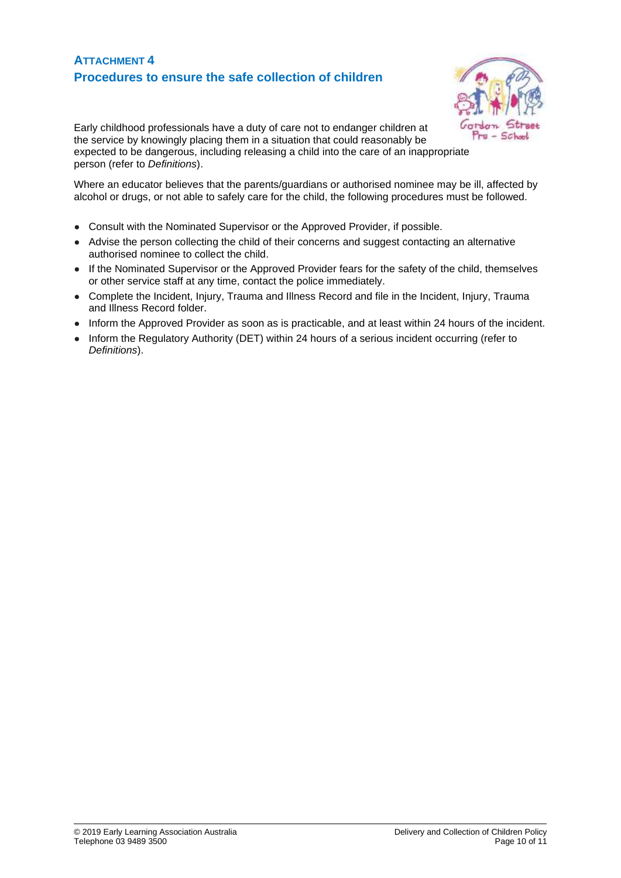### **ATTACHMENT 4 Procedures to ensure the safe collection of children**



Early childhood professionals have a duty of care not to endanger children at the service by knowingly placing them in a situation that could reasonably be expected to be dangerous, including releasing a child into the care of an inappropriate person (refer to *Definitions*).

Where an educator believes that the parents/guardians or authorised nominee may be ill, affected by alcohol or drugs, or not able to safely care for the child, the following procedures must be followed.

- Consult with the Nominated Supervisor or the Approved Provider, if possible.
- Advise the person collecting the child of their concerns and suggest contacting an alternative authorised nominee to collect the child.
- If the Nominated Supervisor or the Approved Provider fears for the safety of the child, themselves or other service staff at any time, contact the police immediately.
- Complete the Incident, Injury, Trauma and Illness Record and file in the Incident, Injury, Trauma and Illness Record folder.
- Inform the Approved Provider as soon as is practicable, and at least within 24 hours of the incident.
- Inform the Regulatory Authority (DET) within 24 hours of a serious incident occurring (refer to *Definitions*).